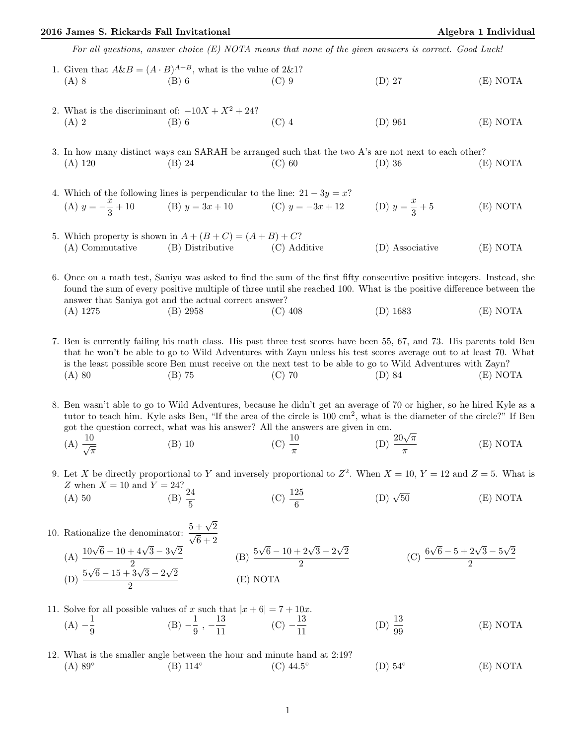## 2016 James S. Rickards Fall Invitational Algebra 1 Individual Algebra 1 Individual

For all questions, answer choice (E) NOTA means that none of the given answers is correct. Good Luck!

- 1. Given that  $A\&B = (A \cdot B)^{A+B}$ , what is the value of 2&1? (A) 8 (B) 6 (C) 9 (D) 27 (E) NOTA
- 2. What is the discriminant of:  $-10X + X^2 + 24$ ? (A) 2 (B) 6 (C) 4 (D) 961 (E) NOTA

3. In how many distinct ways can SARAH be arranged such that the two A's are not next to each other? (A) 120 (B) 24 (C) 60 (D) 36 (E) NOTA

- 4. Which of the following lines is perpendicular to the line:  $21 3y = x$ ? (A)  $y = -\frac{x}{2}$  $\frac{x}{3} + 10$  (B)  $y = 3x + 10$  (C)  $y = -3x + 12$  (D)  $y = \frac{x}{3}$ 3  $(E) NOTA$
- 5. Which property is shown in  $A + (B + C) = (A + B) + C$ ? (A) Commutative (B) Distributive (C) Additive (D) Associative (E) NOTA

6. Once on a math test, Saniya was asked to find the sum of the first fifty consecutive positive integers. Instead, she found the sum of every positive multiple of three until she reached 100. What is the positive difference between the answer that Saniya got and the actual correct answer? (A) 1275 (B) 2958 (C) 408 (D) 1683 (E) NOTA

- 7. Ben is currently failing his math class. His past three test scores have been 55, 67, and 73. His parents told Ben that he won't be able to go to Wild Adventures with Zayn unless his test scores average out to at least 70. What is the least possible score Ben must receive on the next test to be able to go to Wild Adventures with Zayn? (A) 80 (B) 75 (C) 70 (D) 84 (E) NOTA
- 8. Ben wasn't able to go to Wild Adventures, because he didn't get an average of 70 or higher, so he hired Kyle as a tutor to teach him. Kyle asks Ben, "If the area of the circle is 100 cm<sup>2</sup>, what is the diameter of the circle?" If Ben got the question correct, what was his answer? All the answers are given in cm.
	- (A)  $\frac{10}{\sqrt{\pi}}$ (B) 10 (C)  $\frac{10}{\pi}$ cm.<br>(D)  $\frac{20\sqrt{\pi}}{}$ π (E) NOTA
- 9. Let X be directly proportional to Y and inversely proportional to  $Z^2$ . When  $X = 10$ ,  $Y = 12$  and  $Z = 5$ . What is Z when  $X = 10$  and  $Y = 24?$ <br>(A) 50 (B)  $\frac{24}{5}$  $(B)$   $\frac{2}{5}$ (C)  $\frac{125}{6}$  $(D)$   $\sqrt{50}$ 50 (E) NOTA
- 10. Rationalize the denominator:  $\frac{5+\sqrt{2}}{\sqrt{2}}$ (A)  $\frac{10\sqrt{6}-10+4\sqrt{3}-3\sqrt{2}}{2}$ √ 2  $\frac{1+4\sqrt{3}-3\sqrt{2}}{2}$  (B)  $\frac{5}{2}$  $\sqrt{6} - 10 + 2\sqrt{3} - 2$ √ 2 2  $(C)$   $\frac{6}{-}$  $\sqrt{6} - 5 + 2\sqrt{3} - 5$ √ 2 2  $(D) \frac{5}{2}$  $\sqrt{6} - 15 + 3\sqrt{3} - 2$ √ 2  $\frac{3\sqrt{3}-2\sqrt{2}}{2}$  (E) NOTA
- 11. Solve for all possible values of x such that  $|x+6| = 7 + 10x$ .  $(A) - \frac{1}{2}$  $\frac{1}{9}$  (B)  $-\frac{1}{9}$  $\frac{1}{9}$ ,  $-\frac{13}{11}$  $\frac{13}{11}$  (C)  $-\frac{13}{11}$ 11 (D)  $\frac{13}{99}$ (E) NOTA
- 12. What is the smaller angle between the hour and minute hand at 2:19?  $(A)$  89 $^{\circ}$ (B) 114◦  $(C)$  44.5°  $(D)$  54 $\circ$ (E) NOTA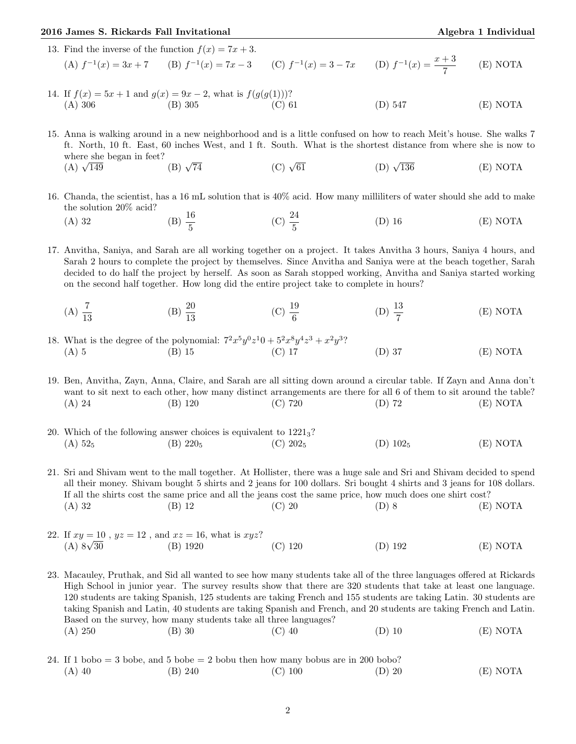## 2016 James S. Rickards Fall Invitational Algebra 1 Individual Algebra 1 Individual

13. Find the inverse of the function  $f(x) = 7x + 3$ .

(A) 
$$
f^{-1}(x) = 3x + 7
$$
 (B)  $f^{-1}(x) = 7x - 3$  (C)  $f^{-1}(x) = 3 - 7x$  (D)  $f^{-1}(x) = \frac{x + 3}{7}$  (E) NOTA

14. If  $f(x) = 5x + 1$  and  $g(x) = 9x - 2$ , what is  $f(g(g(1)))$ ? (A) 306 (B) 305 (C) 61 (D) 547 (E) NOTA

15. Anna is walking around in a new neighborhood and is a little confused on how to reach Meit's house. She walks 7 ft. North, 10 ft. East, 60 inches West, and 1 ft. South. What is the shortest distance from where she is now to where she began in feet?<br>
(A)  $\sqrt{149}$  (B)  $\sqrt{ }$ (A)  $\sqrt{149}$ (B)  $\sqrt{74}$  (C)  $\sqrt{61}$ (D)  $\sqrt{136}$  $(E) NOTA$ 

- 16. Chanda, the scientist, has a 16 mL solution that is 40% acid. How many milliliters of water should she add to make the solution 20% acid?
	- (A) 32 (B)  $\frac{16}{5}$ (C)  $\frac{24}{5}$ (D) 16 (E) NOTA

17. Anvitha, Saniya, and Sarah are all working together on a project. It takes Anvitha 3 hours, Saniya 4 hours, and Sarah 2 hours to complete the project by themselves. Since Anvitha and Saniya were at the beach together, Sarah decided to do half the project by herself. As soon as Sarah stopped working, Anvitha and Saniya started working on the second half together. How long did the entire project take to complete in hours?

- $(A) \frac{7}{13}$ (B)  $\frac{20}{13}$ (C)  $\frac{19}{6}$ (D)  $\frac{13}{7}$ (E) NOTA
- 18. What is the degree of the polynomial:  $7^2x^5y^0z^10 + 5^2x^8y^4z^3 + x^2y^3$ ? (A) 5 (B) 15 (C) 17 (D) 37 (E) NOTA

19. Ben, Anvitha, Zayn, Anna, Claire, and Sarah are all sitting down around a circular table. If Zayn and Anna don't want to sit next to each other, how many distinct arrangements are there for all 6 of them to sit around the table? (A) 24 (B) 120 (C) 720 (D) 72 (E) NOTA

20. Which of the following answer choices is equivalent to  $1221<sub>3</sub>$ ? (A)  $52_5$  (B)  $220_5$  (C)  $202_5$  (D)  $102_5$  (E) NOTA

21. Sri and Shivam went to the mall together. At Hollister, there was a huge sale and Sri and Shivam decided to spend all their money. Shivam bought 5 shirts and 2 jeans for 100 dollars. Sri bought 4 shirts and 3 jeans for 108 dollars. If all the shirts cost the same price and all the jeans cost the same price, how much does one shirt cost? (A) 32 (B) 12 (C) 20 (D) 8 (E) NOTA

22. If  $xy = 10$ ,  $yz = 12$ , and  $xz = 16$ , what is  $xyz$ ? (A)  $8\sqrt{30}$ 30 (B) 1920 (C) 120 (D) 192 (E) NOTA

23. Macauley, Pruthak, and Sid all wanted to see how many students take all of the three languages offered at Rickards High School in junior year. The survey results show that there are 320 students that take at least one language. 120 students are taking Spanish, 125 students are taking French and 155 students are taking Latin. 30 students are taking Spanish and Latin, 40 students are taking Spanish and French, and 20 students are taking French and Latin. Based on the survey, how many students take all three languages? (A) 250 (B) 30 (C) 40 (D) 10 (E) NOTA

24. If 1 bobo  $=$  3 bobe, and 5 bobe  $=$  2 bobu then how many bobus are in 200 bobo? (A) 40 (B) 240 (C) 100 (D) 20 (E) NOTA